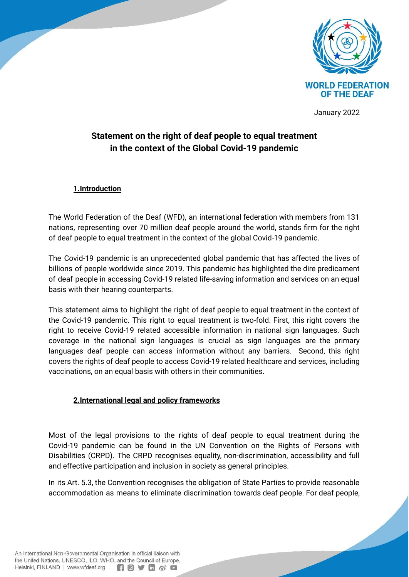

January 2022

# **Statement on the right of deaf people to equal treatment in the context of the Global Covid-19 pandemic**

### **1.Introduction**

The World Federation of the Deaf (WFD), an international federation with members from 131 nations, representing over 70 million deaf people around the world, stands firm for the right of deaf people to equal treatment in the context of the global Covid-19 pandemic.

The Covid-19 pandemic is an unprecedented global pandemic that has affected the lives of billions of people worldwide since 2019. This pandemic has highlighted the dire predicament of deaf people in accessing Covid-19 related life-saving information and services on an equal basis with their hearing counterparts.

This statement aims to highlight the right of deaf people to equal treatment in the context of the Covid-19 pandemic. This right to equal treatment is two-fold. First, this right covers the right to receive Covid-19 related accessible information in national sign languages. Such coverage in the national sign languages is crucial as sign languages are the primary languages deaf people can access information without any barriers. Second, this right covers the rights of deaf people to access Covid-19 related healthcare and services, including vaccinations, on an equal basis with others in their communities.

### **2.International legal and policy frameworks**

Most of the legal provisions to the rights of deaf people to equal treatment during the Covid-19 pandemic can be found in the UN Convention on the Rights of Persons with Disabilities (CRPD). The CRPD recognises equality, non-discrimination, accessibility and full and effective participation and inclusion in society as general principles.

In its Art. 5.3, the Convention recognises the obligation of State Parties to provide reasonable accommodation as means to eliminate discrimination towards deaf people. For deaf people,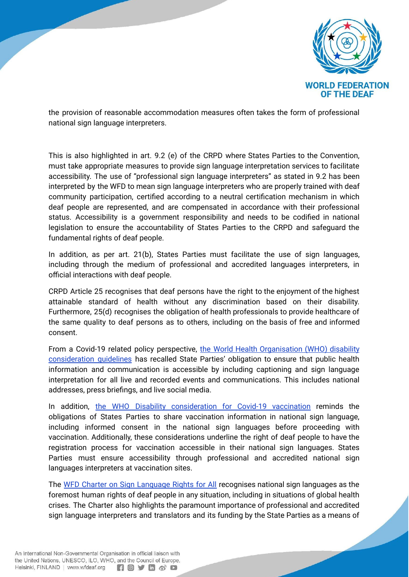

the provision of reasonable accommodation measures often takes the form of professional national sign language interpreters.

This is also highlighted in art. 9.2 (e) of the CRPD where States Parties to the Convention, must take appropriate measures to provide sign language interpretation services to facilitate accessibility. The use of "professional sign language interpreters" as stated in 9.2 has been interpreted by the WFD to mean sign language interpreters who are properly trained with deaf community participation, certified according to a neutral certification mechanism in which deaf people are represented, and are compensated in accordance with their professional status. Accessibility is a government responsibility and needs to be codified in national legislation to ensure the accountability of States Parties to the CRPD and safeguard the fundamental rights of deaf people.

In addition, as per art. 21(b), States Parties must facilitate the use of sign languages, including through the medium of professional and accredited languages interpreters, in official interactions with deaf people.

CRPD Article 25 recognises that deaf persons have the right to the enjoyment of the highest attainable standard of health without any discrimination based on their disability. Furthermore, 25(d) recognises the obligation of health professionals to provide healthcare of the same quality to deaf persons as to others, including on the basis of free and informed consent.

From a Covid-19 related policy perspective, the World Health [Organisation](https://www.who.int/publications/i/item/WHO-2019-nCoV-Disability-2020-1) (WHO) disability [consideration](https://www.who.int/publications/i/item/WHO-2019-nCoV-Disability-2020-1) guidelines has recalled State Parties' obligation to ensure that public health information and communication is accessible by including captioning and sign language interpretation for all live and recorded events and communications. This includes national addresses, press briefings, and live social media.

In addition, the WHO Disability [consideration](https://www.who.int/publications/i/item/who-2019-ncov-vaccination-and-disability-policy-brief-2021.1) for Covid-19 vaccination reminds the obligations of States Parties to share vaccination information in national sign language, including informed consent in the national sign languages before proceeding with vaccination. Additionally, these considerations underline the right of deaf people to have the registration process for vaccination accessible in their national sign languages. States Parties must ensure accessibility through professional and accredited national sign languages interpreters at vaccination sites.

The WFD Charter on Sign [Language](https://wfdeaf.org/charter/) Rights for All recognises national sign languages as the foremost human rights of deaf people in any situation, including in situations of global health crises. The Charter also highlights the paramount importance of professional and accredited sign language interpreters and translators and its funding by the State Parties as a means of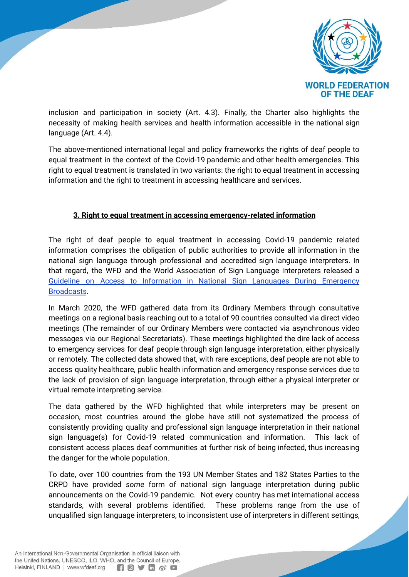

inclusion and participation in society (Art. 4.3). Finally, the Charter also highlights the necessity of making health services and health information accessible in the national sign language (Art. 4.4).

The above-mentioned international legal and policy frameworks the rights of deaf people to equal treatment in the context of the Covid-19 pandemic and other health emergencies. This right to equal treatment is translated in two variants: the right to equal treatment in accessing information and the right to treatment in accessing healthcare and services.

# **3. Right to equal treatment in accessing emergency-related information**

The right of deaf people to equal treatment in accessing Covid-19 pandemic related information comprises the obligation of public authorities to provide all information in the national sign language through professional and accredited sign language interpreters. In that regard, the WFD and the World Association of Sign Language Interpreters released a Guideline on Access to [Information](https://wfdeaf.org/news/resources/guidelines-on-providing-access-to-public-health-information/) in National Sign Languages During Emergency [Broadcasts](https://wfdeaf.org/news/resources/guidelines-on-providing-access-to-public-health-information/).

In March 2020, the WFD gathered data from its Ordinary Members through consultative meetings on a regional basis reaching out to a total of 90 countries consulted via direct video meetings (The remainder of our Ordinary Members were contacted via asynchronous video messages via our Regional Secretariats). These meetings highlighted the dire lack of access to emergency services for deaf people through sign language interpretation, either physically or remotely. The collected data showed that, with rare exceptions, deaf people are not able to access quality healthcare, public health information and emergency response services due to the lack of provision of sign language interpretation, through either a physical interpreter or virtual remote interpreting service.

The data gathered by the WFD highlighted that while interpreters may be present on occasion, most countries around the globe have still not systematized the process of consistently providing quality and professional sign language interpretation in their national sign language(s) for Covid-19 related communication and information. This lack of consistent access places deaf communities at further risk of being infected, thus increasing the danger for the whole population.

To date, over 100 countries from the 193 UN Member States and 182 States Parties to the CRPD have provided *some* form of national sign language interpretation during public announcements on the Covid-19 pandemic. Not every country has met international access standards, with several problems identified. These problems range from the use of unqualified sign language interpreters, to inconsistent use of interpreters in different settings,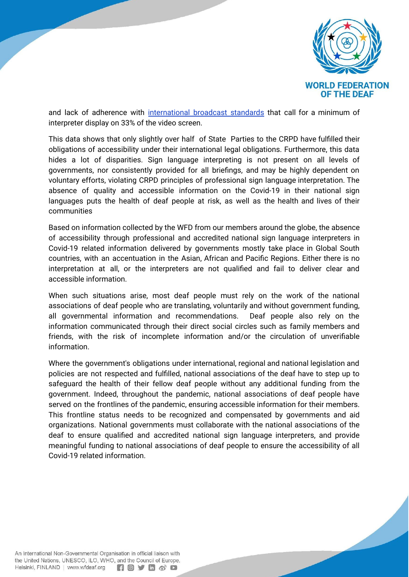

and lack of adherence with [international](http://wfdeaf.org/news/resources/guidelines-on-providing-access-to-public-health-information/) broadcast standards that call for a minimum of interpreter display on 33% of the video screen.

This data shows that only slightly over half of State Parties to the CRPD have fulfilled their obligations of accessibility under their international legal obligations. Furthermore, this data hides a lot of disparities. Sign language interpreting is not present on all levels of governments, nor consistently provided for all briefings, and may be highly dependent on voluntary efforts, violating CRPD principles of professional sign language interpretation. The absence of quality and accessible information on the Covid-19 in their national sign languages puts the health of deaf people at risk, as well as the health and lives of their communities

Based on information collected by the WFD from our members around the globe, the absence of accessibility through professional and accredited national sign language interpreters in Covid-19 related information delivered by governments mostly take place in Global South countries, with an accentuation in the Asian, African and Pacific Regions. Either there is no interpretation at all, or the interpreters are not qualified and fail to deliver clear and accessible information.

When such situations arise, most deaf people must rely on the work of the national associations of deaf people who are translating, voluntarily and without government funding, all governmental information and recommendations. Deaf people also rely on the information communicated through their direct social circles such as family members and friends, with the risk of incomplete information and/or the circulation of unverifiable information.

Where the government's obligations under international, regional and national legislation and policies are not respected and fulfilled, national associations of the deaf have to step up to safeguard the health of their fellow deaf people without any additional funding from the government. Indeed, throughout the pandemic, national associations of deaf people have served on the frontlines of the pandemic, ensuring accessible information for their members. This frontline status needs to be recognized and compensated by governments and aid organizations. National governments must collaborate with the national associations of the deaf to ensure qualified and accredited national sign language interpreters, and provide meaningful funding to national associations of deaf people to ensure the accessibility of all Covid-19 related information.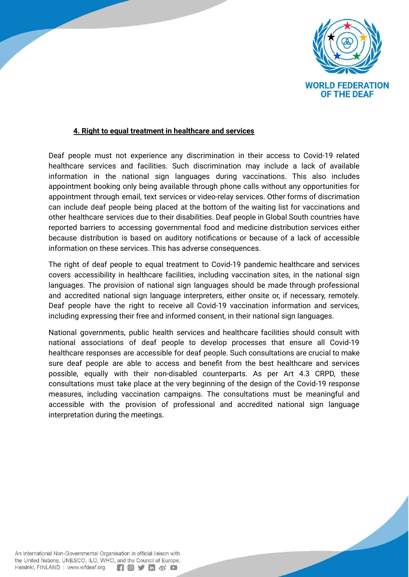

## **4. Right to equal treatment in healthcare and services**

Deaf people must not experience any discrimination in their access to Covid-19 related healthcare services and facilities. Such discrimination may include a lack of available information in the national sign languages during vaccinations. This also includes appointment booking only being available through phone calls without any opportunities for appointment through email, text services or video-relay services. Other forms of discrimation can include deaf people being placed at the bottom of the waiting list for vaccinations and other healthcare services due to their disabilities. Deaf people in Global South countries have reported barriers to accessing governmental food and medicine distribution services either because distribution is based on auditory notifications or because of a lack of accessible information on these services. This has adverse consequences.

The right of deaf people to equal treatment to Covid-19 pandemic healthcare and services covers accessibility in healthcare facilities, including vaccination sites, in the national sign languages. The provision of national sign languages should be made through professional and accredited national sign language interpreters, either onsite or, if necessary, remotely. Deaf people have the right to receive all Covid-19 vaccination information and services, including expressing their free and informed consent, in their national sign languages.

National governments, public health services and healthcare facilities should consult with national associations of deaf people to develop processes that ensure all Covid-19 healthcare responses are accessible for deaf people. Such consultations are crucial to make sure deaf people are able to access and benefit from the best healthcare and services possible, equally with their non-disabled counterparts. As per Art 4.3 CRPD, these consultations must take place at the very beginning of the design of the Covid-19 response measures, including vaccination campaigns. The consultations must be meaningful and accessible with the provision of professional and accredited national sign language interpretation during the meetings.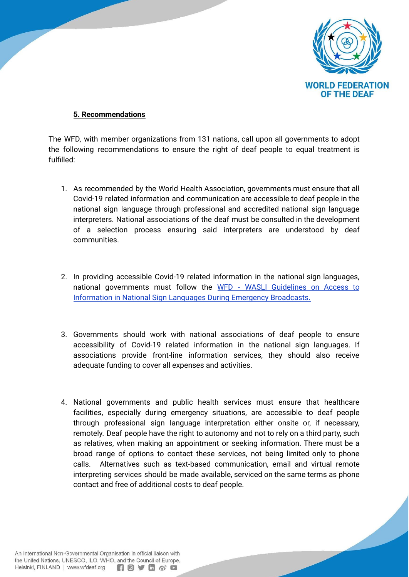

## **5. Recommendations**

The WFD, with member organizations from 131 nations, call upon all governments to adopt the following recommendations to ensure the right of deaf people to equal treatment is fulfilled:

- 1. As recommended by the World Health Association, governments must ensure that all Covid-19 related information and communication are accessible to deaf people in the national sign language through professional and accredited national sign language interpreters. National associations of the deaf must be consulted in the development of a selection process ensuring said interpreters are understood by deaf communities.
- 2. In providing accessible Covid-19 related information in the national sign languages, national governments must follow the WFD - WASLI [Guidelines](https://wfdeaf.org/news/3-important-key-points-how-do-your-country-make-sure-all-deaf-people-are-updated-on-the-latest-news/) on Access to Information in National Sign Languages During Emergency [Broadcasts.](https://wfdeaf.org/news/3-important-key-points-how-do-your-country-make-sure-all-deaf-people-are-updated-on-the-latest-news/)
- 3. Governments should work with national associations of deaf people to ensure accessibility of Covid-19 related information in the national sign languages. If associations provide front-line information services, they should also receive adequate funding to cover all expenses and activities.
- 4. National governments and public health services must ensure that healthcare facilities, especially during emergency situations, are accessible to deaf people through professional sign language interpretation either onsite or, if necessary, remotely. Deaf people have the right to autonomy and not to rely on a third party, such as relatives, when making an appointment or seeking information. There must be a broad range of options to contact these services, not being limited only to phone calls. Alternatives such as text-based communication, email and virtual remote interpreting services should be made available, serviced on the same terms as phone contact and free of additional costs to deaf people.